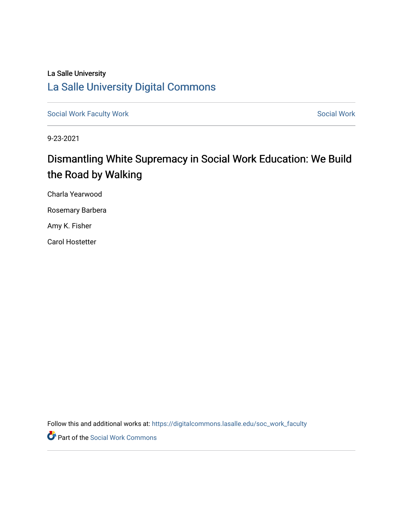## La Salle University [La Salle University Digital Commons](https://digitalcommons.lasalle.edu/)

[Social Work Faculty Work](https://digitalcommons.lasalle.edu/soc_work_faculty) **Social Work** [Social Work](https://digitalcommons.lasalle.edu/soc_work) Social Work

9-23-2021

# Dismantling White Supremacy in Social Work Education: We Build the Road by Walking

Charla Yearwood Rosemary Barbera

Amy K. Fisher

Carol Hostetter

Follow this and additional works at: [https://digitalcommons.lasalle.edu/soc\\_work\\_faculty](https://digitalcommons.lasalle.edu/soc_work_faculty?utm_source=digitalcommons.lasalle.edu%2Fsoc_work_faculty%2F1&utm_medium=PDF&utm_campaign=PDFCoverPages) 

Part of the [Social Work Commons](http://network.bepress.com/hgg/discipline/713?utm_source=digitalcommons.lasalle.edu%2Fsoc_work_faculty%2F1&utm_medium=PDF&utm_campaign=PDFCoverPages)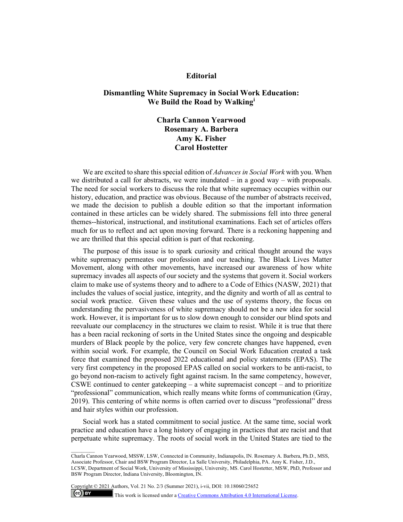#### **Editorial**

### **Dismantling White Supremacy in Social Work Education: We Build the Road by Walking[i](#page-7-0)**

## **Charla Cannon Yearwood Rosemary A. Barbera Amy K. Fisher Carol Hostetter**

We are excited to share this special edition of *Advances in Social Work* with you. When we distributed a call for abstracts, we were inundated – in a good way – with proposals. The need for social workers to discuss the role that white supremacy occupies within our history, education, and practice was obvious. Because of the number of abstracts received, we made the decision to publish a double edition so that the important information contained in these articles can be widely shared. The submissions fell into three general themes--historical, instructional, and institutional examinations. Each set of articles offers much for us to reflect and act upon moving forward. There is a reckoning happening and we are thrilled that this special edition is part of that reckoning.

The purpose of this issue is to spark curiosity and critical thought around the ways white supremacy permeates our profession and our teaching. The Black Lives Matter Movement, along with other movements, have increased our awareness of how white supremacy invades all aspects of our society and the systems that govern it. Social workers claim to make use of systems theory and to adhere to a Code of Ethics (NASW, 2021) that includes the values of social justice, integrity, and the dignity and worth of all as central to social work practice. Given these values and the use of systems theory, the focus on understanding the pervasiveness of white supremacy should not be a new idea for social work. However, it is important for us to slow down enough to consider our blind spots and reevaluate our complacency in the structures we claim to resist. While it is true that there has a been racial reckoning of sorts in the United States since the ongoing and despicable murders of Black people by the police, very few concrete changes have happened, even within social work. For example, the Council on Social Work Education created a task force that examined the proposed 2022 educational and policy statements (EPAS). The very first competency in the proposed EPAS called on social workers to be anti-racist, to go beyond non-racism to actively fight against racism. In the same competency, however, CSWE continued to center gate keeping – a white supremacist concept – and to prioritize "professional" communication, which really means white forms of communication (Gray, 2019). This centering of white norms is often carried over to discuss "professional" dress and hair styles within our profession.

Social work has a stated commitment to social justice. At the same time, social work practice and education have a long history of engaging in practices that are racist and that perpetuate white supremacy. The roots of social work in the United States are tied to the

Copyright © 2021 Authors, Vol. 21 No. 2/3 (Summer 2021), i-vii, DOI: 10.18060/25652

 $(cc)$  BY

This work is licensed under [a Creative Commons Attribution 4.0 International License.](about:blank)

Charla Cannon Yearwood, MSSW, LSW, Connected in Community, Indianapolis, IN. Rosemary A. Barbera, Ph.D., MSS, Associate Professor, Chair and BSW Program Director, La Salle University, Philadelphia, PA. Amy K. Fisher, J.D., LCSW, Department of Social Work, University of Mississippi, University, MS. Carol Hostetter, MSW, PhD, Professor and BSW Program Director, Indiana University, Bloomington, IN.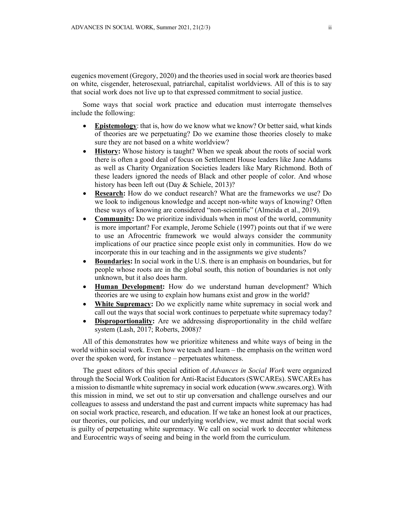eugenics movement (Gregory, 2020) and the theories used in social work are theories based on white, cisgender, heterosexual, patriarchal, capitalist worldviews. All of this is to say that social work does not live up to that expressed commitment to social justice.

Some ways that social work practice and education must interrogate themselves include the following:

- **Epistemology**: that is, how do we know what we know? Or better said, what kinds of theories are we perpetuating? Do we examine those theories closely to make sure they are not based on a white worldview?
- **History:** Whose history is taught? When we speak about the roots of social work there is often a good deal of focus on Settlement House leaders like Jane Addams as well as Charity Organization Societies leaders like Mary Richmond. Both of these leaders ignored the needs of Black and other people of color. And whose history has been left out (Day & Schiele, 2013)?
- **Research:** How do we conduct research? What are the frameworks we use? Do we look to indigenous knowledge and accept non-white ways of knowing? Often these ways of knowing are considered "non-scientific" (Almeida et al., 2019).
- **Community:** Do we prioritize individuals when in most of the world, community is more important? For example, Jerome Schiele (1997) points out that if we were to use an Afrocentric framework we would always consider the community implications of our practice since people exist only in communities. How do we incorporate this in our teaching and in the assignments we give students?
- **Boundaries:** In social work in the U.S. there is an emphasis on boundaries, but for people whose roots are in the global south, this notion of boundaries is not only unknown, but it also does harm.
- **Human Development:** How do we understand human development? Which theories are we using to explain how humans exist and grow in the world?
- **White Supremacy:** Do we explicitly name white supremacy in social work and call out the ways that social work continues to perpetuate white supremacy today?
- **Disproportionality:** Are we addressing disproportionality in the child welfare system (Lash, 2017; Roberts, 2008)?

All of this demonstrates how we prioritize whiteness and white ways of being in the world within social work. Even how we teach and learn – the emphasis on the written word over the spoken word, for instance – perpetuates whiteness.

The guest editors of this special edition of *Advances in Social Work* were organized through the Social Work Coalition for Anti-Racist Educators (SWCAREs). SWCAREs has a mission to dismantle white supremacy in social work education (www.swcares.org). With this mission in mind, we set out to stir up conversation and challenge ourselves and our colleagues to assess and understand the past and current impacts white supremacy has had on social work practice, research, and education. If we take an honest look at our practices, our theories, our policies, and our underlying worldview, we must admit that social work is guilty of perpetuating white supremacy. We call on social work to decenter whiteness and Eurocentric ways of seeing and being in the world from the curriculum.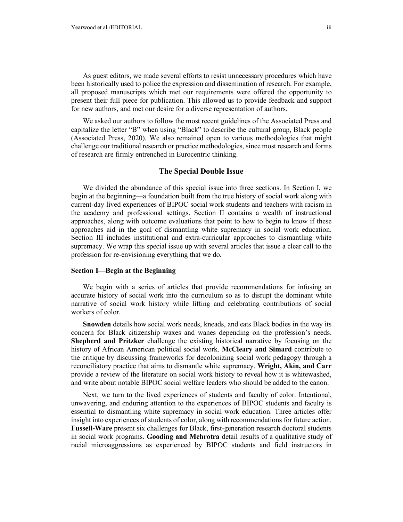As guest editors, we made several efforts to resist unnecessary procedures which have been historically used to police the expression and dissemination of research. For example, all proposed manuscripts which met our requirements were offered the opportunity to present their full piece for publication. This allowed us to provide feedback and support for new authors, and met our desire for a diverse representation of authors.

We asked our authors to follow the most recent guidelines of the Associated Press and capitalize the letter "B" when using "Black" to describe the cultural group, Black people (Associated Press, 2020). We also remained open to various methodologies that might challenge our traditional research or practice methodologies, since most research and forms of research are firmly entrenched in Eurocentric thinking.

#### **The Special Double Issue**

We divided the abundance of this special issue into three sections. In Section I, we begin at the beginning—a foundation built from the true history of social work along with current-day lived experiences of BIPOC social work students and teachers with racism in the academy and professional settings. Section II contains a wealth of instructional approaches, along with outcome evaluations that point to how to begin to know if these approaches aid in the goal of dismantling white supremacy in social work education. Section III includes institutional and extra-curricular approaches to dismantling white supremacy. We wrap this special issue up with several articles that issue a clear call to the profession for re-envisioning everything that we do.

#### **Section I—Begin at the Beginning**

We begin with a series of articles that provide recommendations for infusing an accurate history of social work into the curriculum so as to disrupt the dominant white narrative of social work history while lifting and celebrating contributions of social workers of color.

**Snowden** details how social work needs, kneads, and eats Black bodies in the way its concern for Black citizenship waxes and wanes depending on the profession's needs. **Shepherd and Pritzker** challenge the existing historical narrative by focusing on the history of African American political social work. **McCleary and Simard** contribute to the critique by discussing frameworks for decolonizing social work pedagogy through a reconciliatory practice that aims to dismantle white supremacy. **Wright, Akin, and Carr** provide a review of the literature on social work history to reveal how it is whitewashed, and write about notable BIPOC social welfare leaders who should be added to the canon.

Next, we turn to the lived experiences of students and faculty of color. Intentional, unwavering, and enduring attention to the experiences of BIPOC students and faculty is essential to dismantling white supremacy in social work education. Three articles offer insight into experiences of students of color, along with recommendations for future action. **Fussell-Ware** present six challenges for Black, first-generation research doctoral students in social work programs. **Gooding and Mehrotra** detail results of a qualitative study of racial microaggressions as experienced by BIPOC students and field instructors in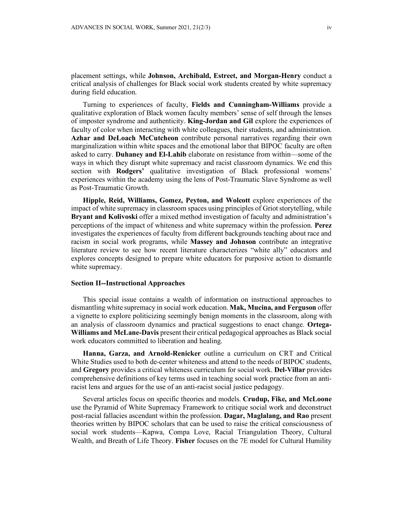placement settings, while **Johnson, Archibald, Estreet, and Morgan-Henry** conduct a critical analysis of challenges for Black social work students created by white supremacy during field education.

Turning to experiences of faculty, **Fields and Cunningham-Williams** provide a qualitative exploration of Black women faculty members' sense of self through the lenses of imposter syndrome and authenticity. **King-Jordan and Gil** explore the experiences of faculty of color when interacting with white colleagues, their students, and administration. **Azhar and DeLoach McCutcheon** contribute personal narratives regarding their own marginalization within white spaces and the emotional labor that BIPOC faculty are often asked to carry. **Duhaney and El-Lahib** elaborate on resistance from within—some of the ways in which they disrupt white supremacy and racist classroom dynamics. We end this section with **Rodgers'** qualitative investigation of Black professional womens' experiences within the academy using the lens of Post-Traumatic Slave Syndrome as well as Post-Traumatic Growth.

**Hipple, Reid, Williams, Gomez, Peyton, and Wolcott** explore experiences of the impact of white supremacy in classroom spaces using principles of Griot storytelling, while **Bryant and Kolivoski** offer a mixed method investigation of faculty and administration's perceptions of the impact of whiteness and white supremacy within the profession. **Perez** investigates the experiences of faculty from different backgrounds teaching about race and racism in social work programs, while **Massey and Johnson** contribute an integrative literature review to see how recent literature characterizes "white ally" educators and explores concepts designed to prepare white educators for purposive action to dismantle white supremacy.

#### **Section II--Instructional Approaches**

This special issue contains a wealth of information on instructional approaches to dismantling white supremacy in social work education. **Mak, Mucina, and Ferguson** offer a vignette to explore politicizing seemingly benign moments in the classroom, along with an analysis of classroom dynamics and practical suggestions to enact change. **Ortega-Williams and McLane-Davis** present their critical pedagogical approaches as Black social work educators committed to liberation and healing.

**Hanna, Garza, and Arnold-Renicker** outline a curriculum on CRT and Critical White Studies used to both de-center whiteness and attend to the needs of BIPOC students, and **Gregory** provides a critical whiteness curriculum for social work. **Del-Villar** provides comprehensive definitions of key terms used in teaching social work practice from an antiracist lens and argues for the use of an anti-racist social justice pedagogy.

Several articles focus on specific theories and models. **Crudup, Fike, and McLoone** use the Pyramid of White Supremacy Framework to critique social work and deconstruct post-racial fallacies ascendant within the profession. **Dagar, Maglalang, and Rao** present theories written by BIPOC scholars that can be used to raise the critical consciousness of social work students—Kapwa, Compa Love, Racial Triangulation Theory, Cultural Wealth, and Breath of Life Theory. **Fisher** focuses on the 7E model for Cultural Humility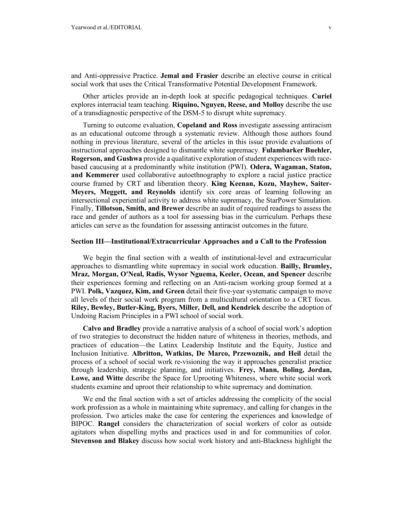and Anti-oppressive Practice. **Jemal and Frasier** describe an elective course in critical social work that uses the Critical Transformative Potential Development Framework.

Other articles provide an in-depth look at specific pedagogical techniques. **Curiel**  explores interracial team teaching. **Riquino, Nguyen, Reese, and Molloy** describe the use of a transdiagnostic perspective of the DSM-5 to disrupt white supremacy.

Turning to outcome evaluation, **Copeland and Ross** investigate assessing antiracism as an educational outcome through a systematic review. Although those authors found nothing in previous literature, several of the articles in this issue provide evaluations of instructional approaches designed to dismantle white supremacy. **Fulambarker Buehler, Rogerson, and Gushwa** provide a qualitative exploration of student experiences with racebased caucusing at a predominantly white institution (PWI). **Odera, Wagaman, Staton, and Kemmerer** used collaborative autoethnography to explore a racial justice practice course framed by CRT and liberation theory. **King Keenan, Kozu, Mayhew, Saiter-Meyers, Meggett, and Reynolds** identify six core areas of learning following an intersectional experiential activity to address white supremacy, the StarPower Simulation. Finally, **Tillotson, Smith, and Brewer** describe an audit of required readings to assess the race and gender of authors as a tool for assessing bias in the curriculum. Perhaps these articles can serve as the foundation for assessing antiracist outcomes in the future.

#### **Section III—Institutional/Extracurricular Approaches and a Call to the Profession**

We begin the final section with a wealth of institutional-level and extracurricular approaches to dismantling white supremacy in social work education. **Bailly, Brumley, Mraz, Morgan, O'Neal, Radis, Wysor Nguema, Keeler, Ocean, and Spencer** describe their experiences forming and reflecting on an Anti-racism working group formed at a PWI. **Polk, Vazquez, Kim, and Green** detail their five-year systematic campaign to move all levels of their social work program from a multicultural orientation to a CRT focus. **Riley, Bewley, Butler-King, Byers, Miller, Dell, and Kendrick** describe the adoption of Undoing Racism Principles in a PWI school of social work.

**Calvo and Bradley** provide a narrative analysis of a school of social work's adoption of two strategies to deconstruct the hidden nature of whiteness in theories, methods, and practices of education—the Latinx Leadership Institute and the Equity, Justice and Inclusion Initiative. **Albritton, Watkins, De Marco, Przewoznik, and Heil** detail the process of a school of social work re-visioning the way it approaches generalist practice through leadership, strategic planning, and initiatives. **Frey, Mann, Boling, Jordan, Lowe, and Witte** describe the Space for Uprooting Whiteness, where white social work students examine and uproot their relationship to white supremacy and domination.

We end the final section with a set of articles addressing the complicity of the social work profession as a whole in maintaining white supremacy, and calling for changes in the profession. Two articles make the case for centering the experiences and knowledge of BIPOC. **Rangel** considers the characterization of social workers of color as outside agitators when dispelling myths and practices used in and for communities of color. **Stevenson and Blakey** discuss how social work history and anti-Blackness highlight the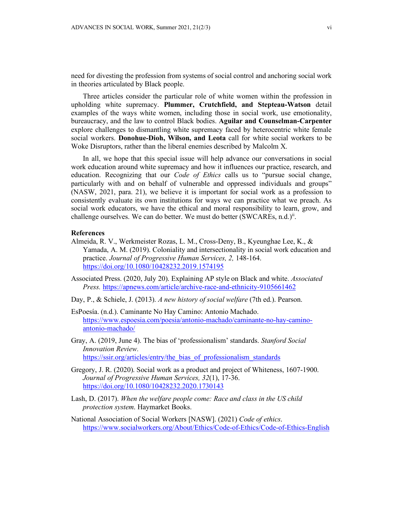need for divesting the profession from systems of social control and anchoring social work in theories articulated by Black people.

Three articles consider the particular role of white women within the profession in upholding white supremacy. **Plummer, Crutchfield, and Stepteau-Watson** detail examples of the ways white women, including those in social work, use emotionality, bureaucracy, and the law to control Black bodies. **Aguilar and Counselman-Carpenter** explore challenges to dismantling white supremacy faced by heterocentric white female social workers. **Donohue-Dioh, Wilson, and Leota** call for white social workers to be Woke Disruptors, rather than the liberal enemies described by Malcolm X.

In all, we hope that this special issue will help advance our conversations in social work education around white supremacy and how it influences our practice, research, and education. Recognizing that our *Code of Ethics* calls us to "pursue social change, particularly with and on behalf of vulnerable and oppressed individuals and groups" (NASW, 2021, para. 21), we believe it is important for social work as a profession to consistently evaluate its own institutions for ways we can practice what we preach. As social work educators, we have the ethical and moral responsibility to learn, grow, and challenge ourselves. We can do better. We must do better (SWCAREs, n.d.)<sup>[ii](#page-7-1)</sup>.

#### **References**

- Almeida, R. V., Werkmeister Rozas, L. M., Cross-Deny, B., Kyeunghae Lee, K., & Yamada, A. M. (2019). Coloniality and intersectionality in social work education and practice. *Journal of Progressive Human Services, 2,* 148-164. <https://doi.org/10.1080/10428232.2019.1574195>
- Associated Press. (2020, July 20). Explaining AP style on Black and white. *Associated Press.* <https://apnews.com/article/archive-race-and-ethnicity-9105661462>
- Day, P., & Schiele, J. (2013). *A new history of social welfare* (7th ed.). Pearson.
- EsPoesía. (n.d.). Caminante No Hay Camino: Antonio Machado. [https://www.espoesia.com/poesia/antonio-machado/caminante-no-hay-camino](https://www.espoesia.com/poesia/antonio-machado/caminante-no-hay-camino-antonio-machado/)[antonio-machado/](https://www.espoesia.com/poesia/antonio-machado/caminante-no-hay-camino-antonio-machado/)
- Gray, A. (2019, June 4). The bias of 'professionalism' standards. *Stanford Social Innovation Review.* [https://ssir.org/articles/entry/the\\_bias\\_of\\_professionalism\\_standards](https://ssir.org/articles/entry/the_bias_of_professionalism_standards)
- Gregory, J. R. (2020). Social work as a product and project of Whiteness, 1607-1900. *Journal of Progressive Human Services, 32*(1), 17-36. <https://doi.org/10.1080/10428232.2020.1730143>
- Lash, D. (2017). *When the welfare people come: Race and class in the US child protection system*. Haymarket Books.
- National Association of Social Workers [NASW]. (2021) *Code of ethics*. <https://www.socialworkers.org/About/Ethics/Code-of-Ethics/Code-of-Ethics-English>